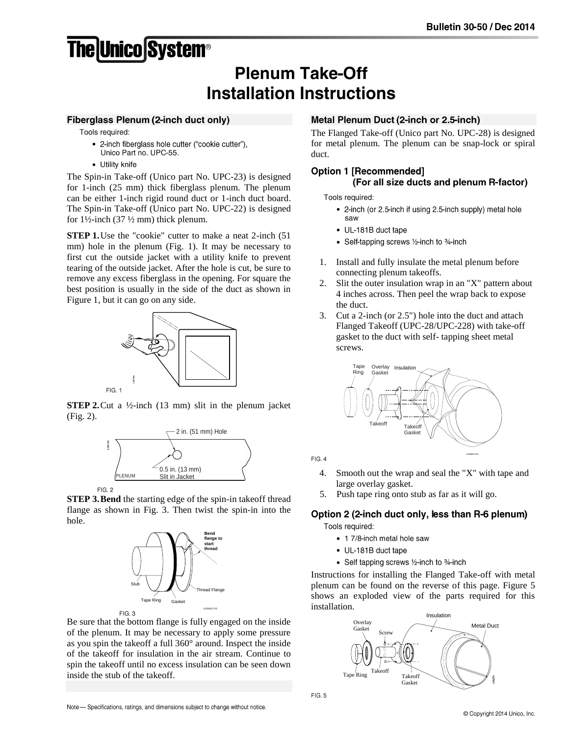# **The Unico System®**

# **Plenum Take-Off Installation Instructions**

#### **Fiberglass Plenum (2-inch duct only)**

Tools required:

- 2-inch fiberglass hole cutter ("cookie cutter"), Unico Part no. UPC-55.
- Utility knife

The Spin-in Take-off (Unico part No. UPC-23) is designed for 1-inch (25 mm) thick fiberglass plenum. The plenum can be either 1-inch rigid round duct or 1-inch duct board. The Spin-in Take-off (Unico part No. UPC-22) is designed for  $1\frac{1}{2}$ -inch (37  $\frac{1}{2}$  mm) thick plenum.

**STEP 1.** Use the "cookie" cutter to make a neat 2-inch (51) mm) hole in the plenum (Fig. 1). It may be necessary to first cut the outside jacket with a utility knife to prevent tearing of the outside jacket. After the hole is cut, be sure to remove any excess fiberglass in the opening. For square the best position is usually in the side of the duct as shown in Figure 1, but it can go on any side.



**STEP 2.** Cut a ½-inch (13 mm) slit in the plenum jacket (Fig. 2).



 $FIG. 2$ 

**STEP 3.Bend** the starting edge of the spin-in takeoff thread flange as shown in Fig. 3. Then twist the spin-in into the hole.



Be sure that the bottom flange is fully engaged on the inside of the plenum. It may be necessary to apply some pressure as you spin the takeoff a full 360° around. Inspect the inside of the takeoff for insulation in the air stream. Continue to spin the takeoff until no excess insulation can be seen down inside the stub of the takeoff.

## Metal Plenum Duct (2-inch or 2.5-inch)

The Flanged Take-off (Unico part No. UPC-28) is designed for metal plenum. The plenum can be snap-lock or spiral duct.

# **Option 1 [Recommended]**

## (For all size ducts and plenum R-factor)

Tools required:

- 2-inch (or 2.5-inch if using 2.5-inch supply) metal hole saw
- UL-181B duct tape
- Self-tapping screws 1/2-inch to 3/4-inch
- 1. Install and fully insulate the metal plenum before connecting plenum takeoffs.
- 2. Slit the outer insulation wrap in an "X" pattern about 4 inches across. Then peel the wrap back to expose the duct.
- 3. Cut a 2-inch (or 2.5") hole into the duct and attach Flanged Takeoff (UPC-28/UPC-228) with take-off gasket to the duct with self- tapping sheet metal screws.



 $FIG 4$ 

- 4. Smooth out the wrap and seal the "X" with tape and large overlay gasket.
- 5. Push tape ring onto stub as far as it will go.

# Option 2 (2-inch duct only, less than R-6 plenum)

Tools required:

- 1 7/8-inch metal hole saw
- UL-181B duct tape
- Self tapping screws 1/2-inch to 3/4-inch

Instructions for installing the Flanged Take-off with metal plenum can be found on the reverse of this page. Figure 5 shows an exploded view of the parts required for this installation.



 $FIG. 5$